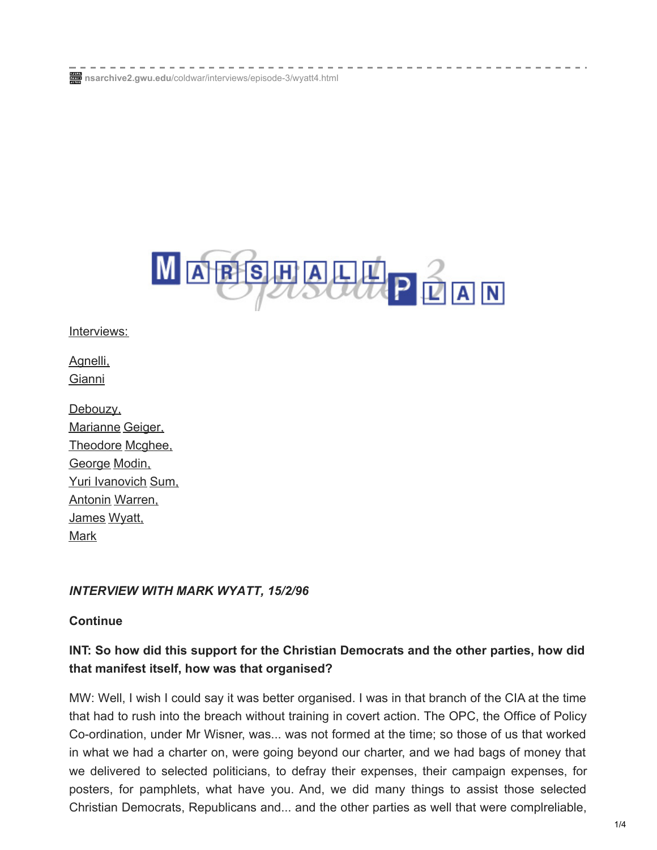**nsarchive2.gwu.edu**[/coldwar/interviews/episode-3/wyatt4.html](https://nsarchive2.gwu.edu/coldwar/interviews/episode-3/wyatt4.html)



[Interviews:](https://nsarchive2.gwu.edu/coldwar/interviews)

[Agnelli,](https://nsarchive2.gwu.edu/coldwar/interviews/episode-3/agnelli1.html) Gianni

[Debouzy,](https://nsarchive2.gwu.edu/coldwar/interviews/episode-3/debouzy1.html) [Marianne](https://nsarchive2.gwu.edu/coldwar/interviews/episode-3/geiger1.html) Geiger, [Theodore](https://nsarchive2.gwu.edu/coldwar/interviews/episode-3/mcghee1.html) Mcghee, George Modin, Yuri [Ivanovich](https://nsarchive2.gwu.edu/coldwar/interviews/episode-3/mosin1.html) Sum, Antonin [Warren,](https://nsarchive2.gwu.edu/coldwar/interviews/episode-3/warnen1.html) [James](https://nsarchive2.gwu.edu/coldwar/interviews/episode-3/wyatt1.html) Wyatt, Mark

### *INTERVIEW WITH MARK WYATT, 15/2/96*

#### **Continue**

# **INT: So how did this support for the Christian Democrats and the other parties, how did that manifest itself, how was that organised?**

MW: Well, I wish I could say it was better organised. I was in that branch of the CIA at the time that had to rush into the breach without training in covert action. The OPC, the Office of Policy Co-ordination, under Mr Wisner, was... was not formed at the time; so those of us that worked in what we had a charter on, were going beyond our charter, and we had bags of money that we delivered to selected politicians, to defray their expenses, their campaign expenses, for posters, for pamphlets, what have you. And, we did many things to assist those selected Christian Democrats, Republicans and... and the other parties as well that were complreliable,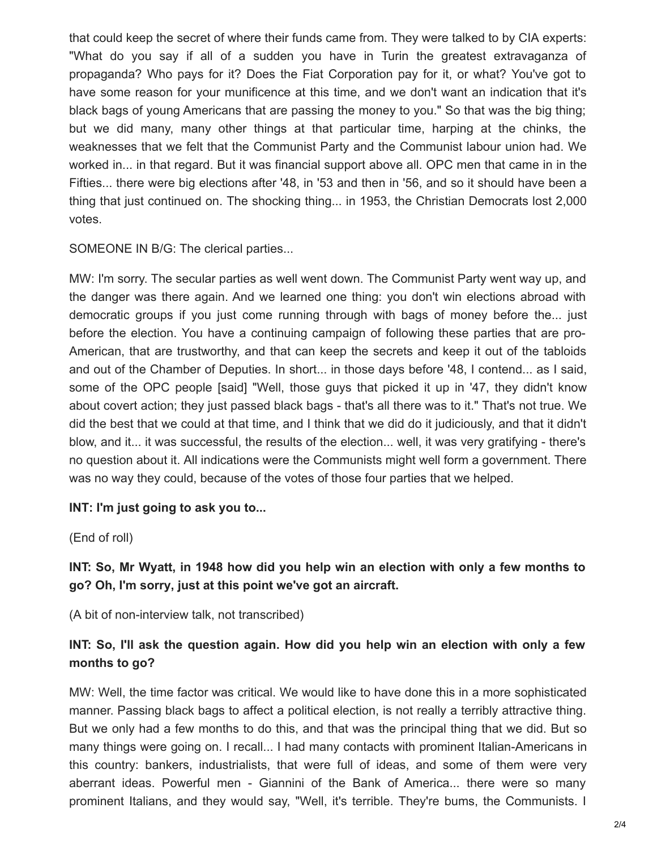that could keep the secret of where their funds came from. They were talked to by CIA experts: "What do you say if all of a sudden you have in Turin the greatest extravaganza of propaganda? Who pays for it? Does the Fiat Corporation pay for it, or what? You've got to have some reason for your munificence at this time, and we don't want an indication that it's black bags of young Americans that are passing the money to you." So that was the big thing; but we did many, many other things at that particular time, harping at the chinks, the weaknesses that we felt that the Communist Party and the Communist labour union had. We worked in... in that regard. But it was financial support above all. OPC men that came in in the Fifties... there were big elections after '48, in '53 and then in '56, and so it should have been a thing that just continued on. The shocking thing... in 1953, the Christian Democrats lost 2,000 votes.

SOMEONE IN B/G: The clerical parties...

MW: I'm sorry. The secular parties as well went down. The Communist Party went way up, and the danger was there again. And we learned one thing: you don't win elections abroad with democratic groups if you just come running through with bags of money before the... just before the election. You have a continuing campaign of following these parties that are pro-American, that are trustworthy, and that can keep the secrets and keep it out of the tabloids and out of the Chamber of Deputies. In short... in those days before '48, I contend... as I said, some of the OPC people [said] "Well, those guys that picked it up in '47, they didn't know about covert action; they just passed black bags - that's all there was to it." That's not true. We did the best that we could at that time, and I think that we did do it judiciously, and that it didn't blow, and it... it was successful, the results of the election... well, it was very gratifying - there's no question about it. All indications were the Communists might well form a government. There was no way they could, because of the votes of those four parties that we helped.

### **INT: I'm just going to ask you to...**

(End of roll)

# **INT: So, Mr Wyatt, in 1948 how did you help win an election with only a few months to go? Oh, I'm sorry, just at this point we've got an aircraft.**

(A bit of non-interview talk, not transcribed)

# **INT: So, I'll ask the question again. How did you help win an election with only a few months to go?**

MW: Well, the time factor was critical. We would like to have done this in a more sophisticated manner. Passing black bags to affect a political election, is not really a terribly attractive thing. But we only had a few months to do this, and that was the principal thing that we did. But so many things were going on. I recall... I had many contacts with prominent Italian-Americans in this country: bankers, industrialists, that were full of ideas, and some of them were very aberrant ideas. Powerful men - Giannini of the Bank of America... there were so many prominent Italians, and they would say, "Well, it's terrible. They're bums, the Communists. I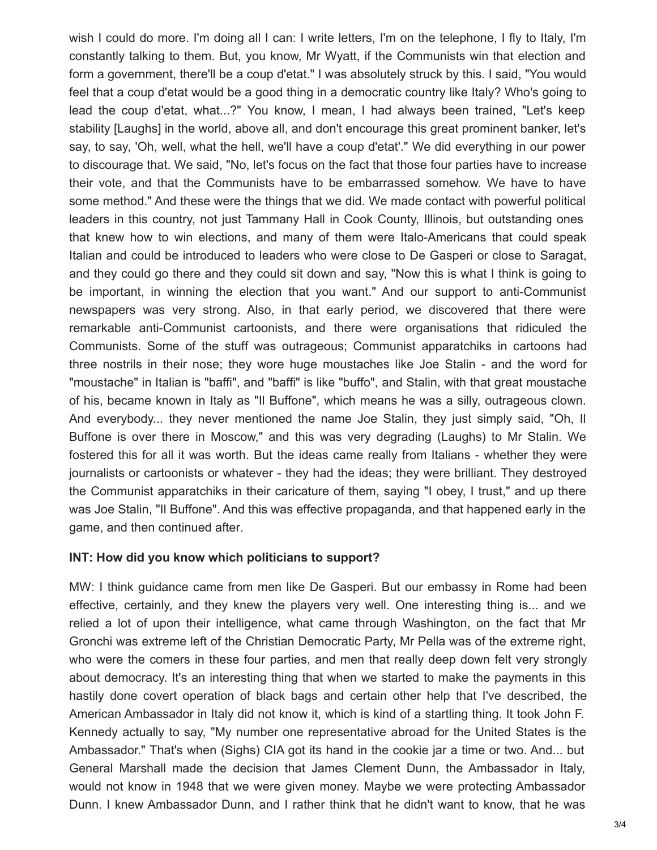wish I could do more. I'm doing all I can: I write letters, I'm on the telephone, I fly to Italy, I'm constantly talking to them. But, you know, Mr Wyatt, if the Communists win that election and form a government, there'll be a coup d'etat." I was absolutely struck by this. I said, "You would feel that a coup d'etat would be a good thing in a democratic country like Italy? Who's going to lead the coup d'etat, what...?" You know, I mean, I had always been trained, "Let's keep stability [Laughs] in the world, above all, and don't encourage this great prominent banker, let's say, to say, 'Oh, well, what the hell, we'll have a coup d'etat'." We did everything in our power to discourage that. We said, "No, let's focus on the fact that those four parties have to increase their vote, and that the Communists have to be embarrassed somehow. We have to have some method." And these were the things that we did. We made contact with powerful political leaders in this country, not just Tammany Hall in Cook County, Illinois, but outstanding ones that knew how to win elections, and many of them were Italo-Americans that could speak Italian and could be introduced to leaders who were close to De Gasperi or close to Saragat, and they could go there and they could sit down and say, "Now this is what I think is going to be important, in winning the election that you want." And our support to anti-Communist newspapers was very strong. Also, in that early period, we discovered that there were remarkable anti-Communist cartoonists, and there were organisations that ridiculed the Communists. Some of the stuff was outrageous; Communist apparatchiks in cartoons had three nostrils in their nose; they wore huge moustaches like Joe Stalin - and the word for "moustache" in Italian is "baffi", and "baffi" is like "buffo", and Stalin, with that great moustache of his, became known in Italy as "Il Buffone", which means he was a silly, outrageous clown. And everybody... they never mentioned the name Joe Stalin, they just simply said, "Oh, Il Buffone is over there in Moscow," and this was very degrading (Laughs) to Mr Stalin. We fostered this for all it was worth. But the ideas came really from Italians - whether they were journalists or cartoonists or whatever - they had the ideas; they were brilliant. They destroyed the Communist apparatchiks in their caricature of them, saying "I obey, I trust," and up there was Joe Stalin, "Il Buffone". And this was effective propaganda, and that happened early in the game, and then continued after.

### **INT: How did you know which politicians to support?**

MW: I think guidance came from men like De Gasperi. But our embassy in Rome had been effective, certainly, and they knew the players very well. One interesting thing is... and we relied a lot of upon their intelligence, what came through Washington, on the fact that Mr Gronchi was extreme left of the Christian Democratic Party, Mr Pella was of the extreme right, who were the comers in these four parties, and men that really deep down felt very strongly about democracy. It's an interesting thing that when we started to make the payments in this hastily done covert operation of black bags and certain other help that I've described, the American Ambassador in Italy did not know it, which is kind of a startling thing. It took John F. Kennedy actually to say, "My number one representative abroad for the United States is the Ambassador." That's when (Sighs) CIA got its hand in the cookie jar a time or two. And... but General Marshall made the decision that James Clement Dunn, the Ambassador in Italy, would not know in 1948 that we were given money. Maybe we were protecting Ambassador Dunn. I knew Ambassador Dunn, and I rather think that he didn't want to know, that he was